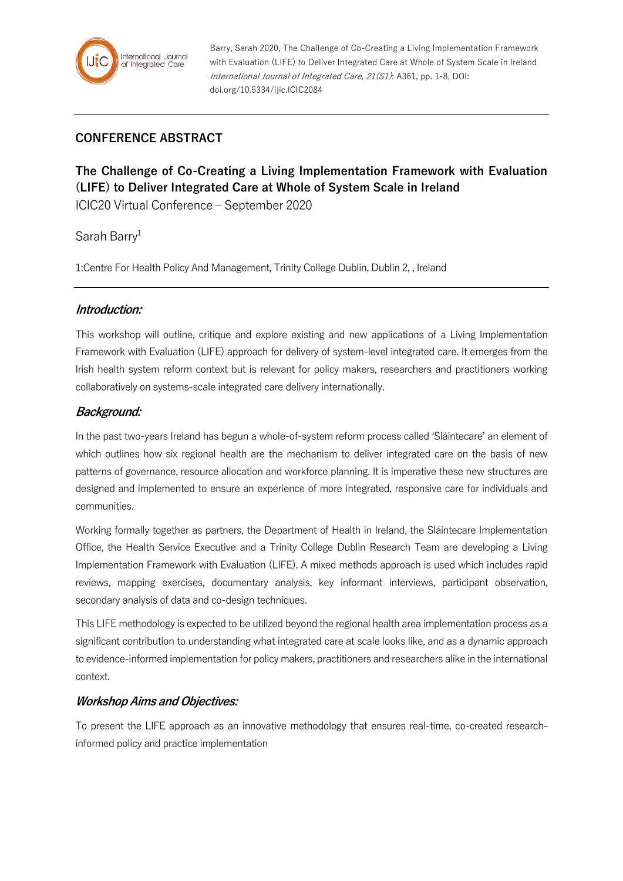

Barry, Sarah 2020, The Challenge of Co-Creating a Living Implementation Framework with Evaluation (LIFE) to Deliver Integrated Care at Whole of System Scale in Ireland International Journal of Integrated Care, 21(S1): A361, pp. 1-8, DOI: doi.org/10.5334/ijic.ICIC2084

# **CONFERENCE ABSTRACT**

# **The Challenge of Co-Creating a Living Implementation Framework with Evaluation (LIFE) to Deliver Integrated Care at Whole of System Scale in Ireland**

ICIC20 Virtual Conference – September 2020

Sarah Barry<sup>1</sup>

1:Centre For Health Policy And Management, Trinity College Dublin, Dublin 2, , Ireland

## **Introduction:**

This workshop will outline, critique and explore existing and new applications of a Living Implementation Framework with Evaluation (LIFE) approach for delivery of system-level integrated care. It emerges from the Irish health system reform context but is relevant for policy makers, researchers and practitioners working collaboratively on systems-scale integrated care delivery internationally.

## **Background:**

In the past two-years Ireland has begun a whole-of-system reform process called 'Sláintecare' an element of which outlines how six regional health are the mechanism to deliver integrated care on the basis of new patterns of governance, resource allocation and workforce planning. It is imperative these new structures are designed and implemented to ensure an experience of more integrated, responsive care for individuals and communities.

Working formally together as partners, the Department of Health in Ireland, the Sláintecare Implementation Office, the Health Service Executive and a Trinity College Dublin Research Team are developing a Living Implementation Framework with Evaluation (LIFE). A mixed methods approach is used which includes rapid reviews, mapping exercises, documentary analysis, key informant interviews, participant observation, secondary analysis of data and co-design techniques.

This LIFE methodology is expected to be utilized beyond the regional health area implementation process as a significant contribution to understanding what integrated care at scale looks like, and as a dynamic approach to evidence-informed implementation for policy makers, practitioners and researchers alike in the international context.

#### **Workshop Aims and Objectives:**

To present the LIFE approach as an innovative methodology that ensures real-time, co-created researchinformed policy and practice implementation